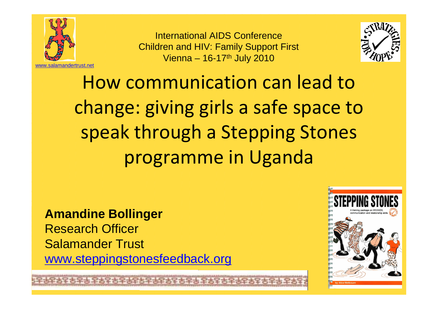

International AIDS Conference Children and HIV: Family Support FirstVienna – 16-17th July 2010



How communication can lead to change: giving girls a safe space to speak through a Stepping Stones programme in Uganda

#### **Amandine Bollinger**

Research OfficerSalamander Trustwww.steppingstonesfeedback.org

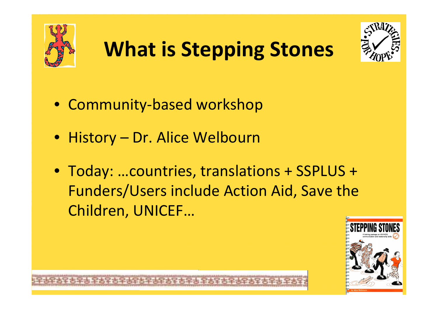





- Community-based workshop
- History Dr. Alice Welbourn
- Today: …countries, translations + SSPLUS + Funders/Users include Action Aid, Save the Children, UNICEF…

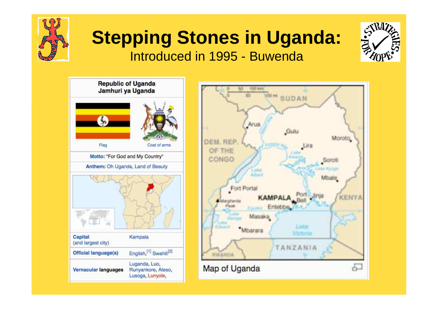

#### **Stepping Stones in Uganda:**Introduced in 1995 - Buwenda



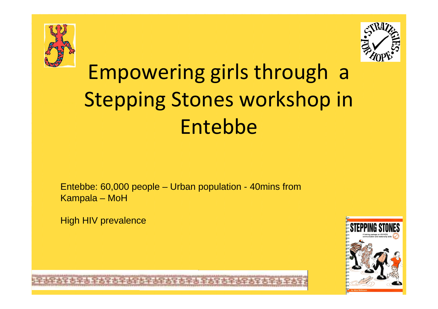



# Empowering girls through a Stepping Stones workshop in Entebbe

Entebbe: 60,000 people – Urban population - 40mins from Kampala – MoH

High HIV prevalence

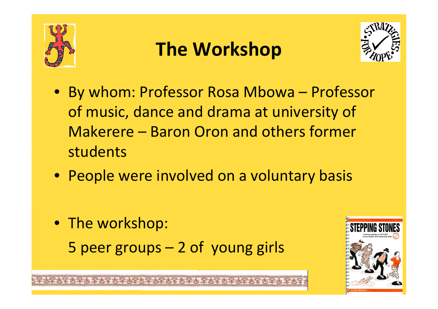

## **The Workshop**



- By whom: Professor Rosa Mbowa Professor of music, dance and drama at university of Makerere – Baron Oron and others former students
- People were involved on a voluntary basis
- The workshop: 5 peer groups – 2 of young girls

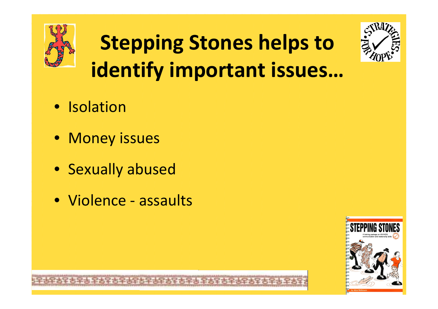

# **Stepping Stones helps to identify important issues…**



- Isolation
- Money issues
- Sexually abused
- Violence assaults

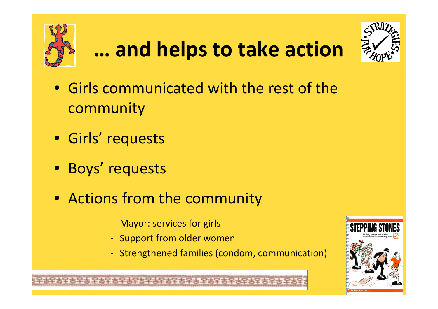

# **… and helps to take action**



- Girls communicated with the rest of the community
- Girls' requests
- Boys' requests
- Actions from the community
	- Mayor: services for girls
	- Support from older women
	- Strengthened families (condom, communication)

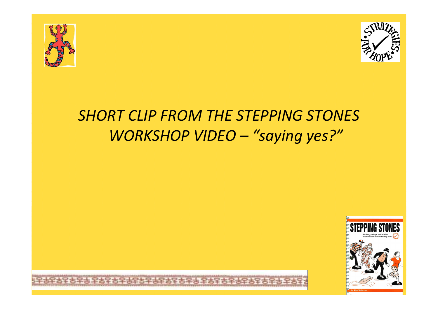



#### *SHORT CLIP FROM THE STEPPING STONES WORKSHOP VIDEO – "saying yes?"*

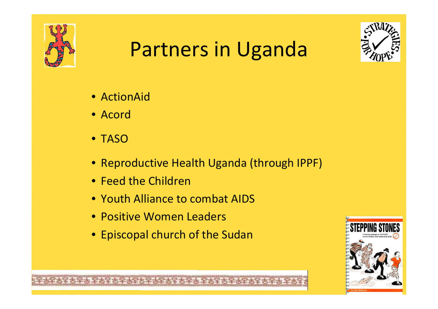

## Partners in Uganda



- ActionAid
- Acord
- TASO
- Reproductive Health Uganda (through IPPF)
- Feed the Children
- Youth Alliance to combat AIDS
- Positive Women Leaders
- Episcopal church of the Sudan

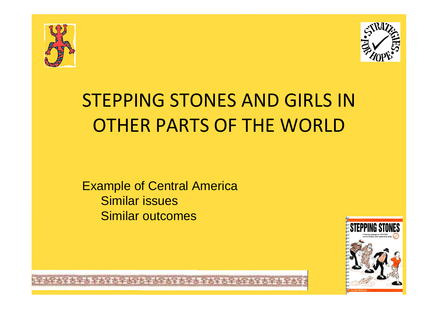



## STEPPING STONES AND GIRLS IN OTHER PARTS OF THE WORLD

Example of Central AmericaSimilar issuesSimilar outcomes

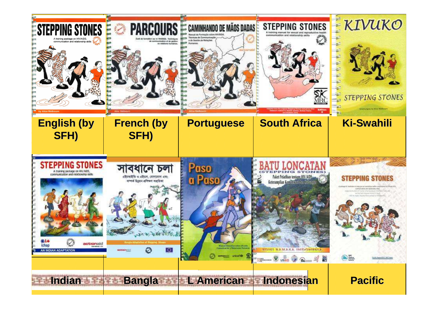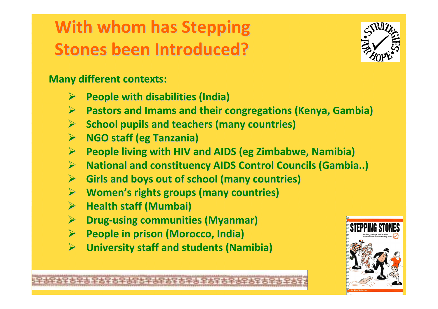### **With whom has Stepping Stones been Introduced?**



**Many different contexts:**

- $\blacktriangleright$ **People with disabilities (India)**
- $\blacktriangleright$ **Pastors and Imams and their congregations (Kenya, Gambia)**
- $\blacktriangleright$ **School pupils and teachers (many countries)**
- $\blacktriangleright$ **NGO staff (eg Tanzania)**
- $\blacktriangleright$ **People living with HIV and AIDS (eg Zimbabwe, Namibia)**
- $\blacktriangleright$ **National and constituency AIDS Control Councils (Gambia..)**
- $\blacktriangleright$ **Girls and boys out of school (many countries)**
- $\blacktriangleright$ **Women's rights groups (many countries)**
- $\blacktriangleright$ **Health staff (Mumbai)**
- $\blacktriangleright$ **→ Drug-using communities (Myanmar)**<br>
N Deeple in prisen (Meresse India)
- $\blacktriangleright$ **People in prison (Morocco, India)**
- $\blacktriangleright$ **University staff and students (Namibia)**